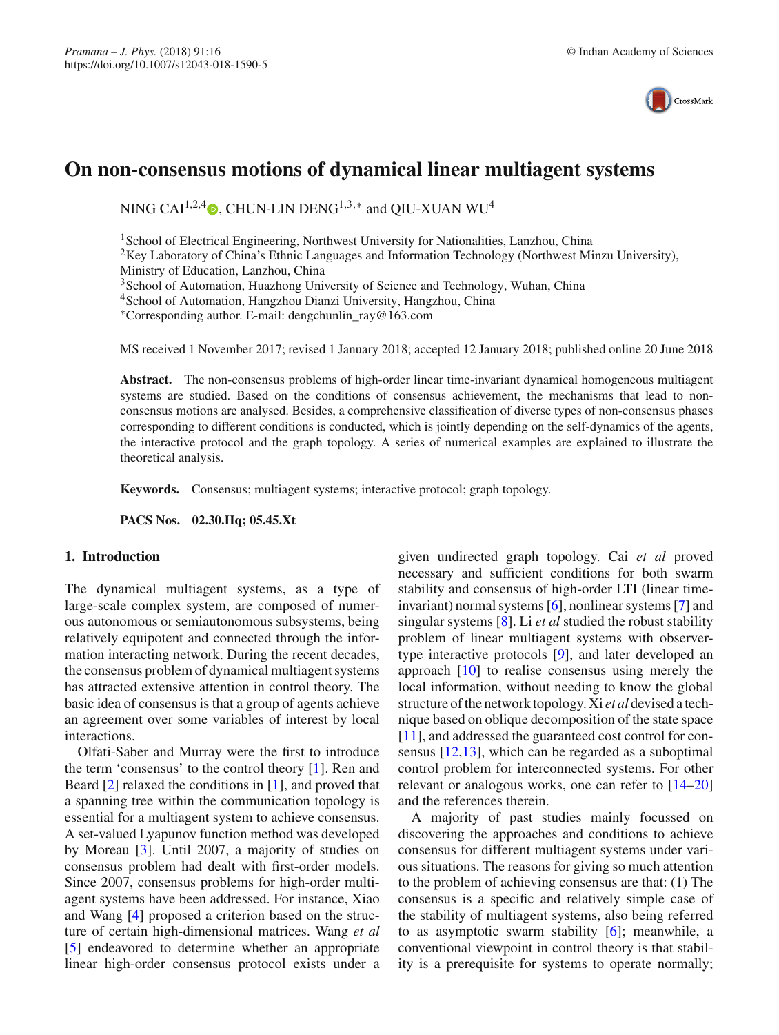

# **On non-consensus motions of dynamical linear multiagent systems**

NING CAI<sup>1,2,[4](http://orcid.org/0000-0003-3836-4822)</sup>  $\bullet$ , CHUN-LIN DENG<sup>1,3,\*</sup> and OIU-XUAN WU<sup>4</sup>

<sup>1</sup> School of Electrical Engineering, Northwest University for Nationalities, Lanzhou, China

<sup>2</sup>Key Laboratory of China's Ethnic Languages and Information Technology (Northwest Minzu University), Ministry of Education, Lanzhou, China

<sup>3</sup>School of Automation, Huazhong University of Science and Technology, Wuhan, China

<sup>4</sup>School of Automation, Hangzhou Dianzi University, Hangzhou, China

∗Corresponding author. E-mail: dengchunlin\_ray@163.com

MS received 1 November 2017; revised 1 January 2018; accepted 12 January 2018; published online 20 June 2018

**Abstract.** The non-consensus problems of high-order linear time-invariant dynamical homogeneous multiagent systems are studied. Based on the conditions of consensus achievement, the mechanisms that lead to nonconsensus motions are analysed. Besides, a comprehensive classification of diverse types of non-consensus phases corresponding to different conditions is conducted, which is jointly depending on the self-dynamics of the agents, the interactive protocol and the graph topology. A series of numerical examples are explained to illustrate the theoretical analysis.

**Keywords.** Consensus; multiagent systems; interactive protocol; graph topology.

**PACS Nos. 02.30.Hq; 05.45.Xt**

# **1. Introduction**

The dynamical multiagent systems, as a type of large-scale complex system, are composed of numerous autonomous or semiautonomous subsystems, being relatively equipotent and connected through the information interacting network. During the recent decades, the consensus problem of dynamical multiagent systems has attracted extensive attention in control theory. The basic idea of consensus is that a group of agents achieve an agreement over some variables of interest by local interactions.

Olfati-Saber and Murray were the first to introduce the term 'consensus' to the control theory [\[1\]](#page-8-0). Ren and Beard [\[2](#page-8-1)] relaxed the conditions in [\[1\]](#page-8-0), and proved that a spanning tree within the communication topology is essential for a multiagent system to achieve consensus. A set-valued Lyapunov function method was developed by Moreau [\[3\]](#page-8-2). Until 2007, a majority of studies on consensus problem had dealt with first-order models. Since 2007, consensus problems for high-order multiagent systems have been addressed. For instance, Xiao and Wang [\[4\]](#page-8-3) proposed a criterion based on the structure of certain high-dimensional matrices. Wang *et al* [\[5\]](#page-8-4) endeavored to determine whether an appropriate linear high-order consensus protocol exists under a given undirected graph topology. Cai *et al* proved necessary and sufficient conditions for both swarm stability and consensus of high-order LTI (linear timeinvariant) normal systems [\[6\]](#page-8-5), nonlinear systems [\[7](#page-8-6)] and singular systems [\[8\]](#page-8-7). Li *et al* studied the robust stability problem of linear multiagent systems with observertype interactive protocols [\[9\]](#page-8-8), and later developed an approach [\[10](#page-8-9)] to realise consensus using merely the local information, without needing to know the global structure of the network topology. Xi *et al* devised a technique based on oblique decomposition of the state space [\[11](#page-8-10)], and addressed the guaranteed cost control for consensus [\[12](#page-8-11)[,13\]](#page-8-12), which can be regarded as a suboptimal control problem for interconnected systems. For other relevant or analogous works, one can refer to [\[14](#page-8-13)[–20\]](#page-8-14) and the references therein.

A majority of past studies mainly focussed on discovering the approaches and conditions to achieve consensus for different multiagent systems under various situations. The reasons for giving so much attention to the problem of achieving consensus are that: (1) The consensus is a specific and relatively simple case of the stability of multiagent systems, also being referred to as asymptotic swarm stability [\[6\]](#page-8-5); meanwhile, a conventional viewpoint in control theory is that stability is a prerequisite for systems to operate normally;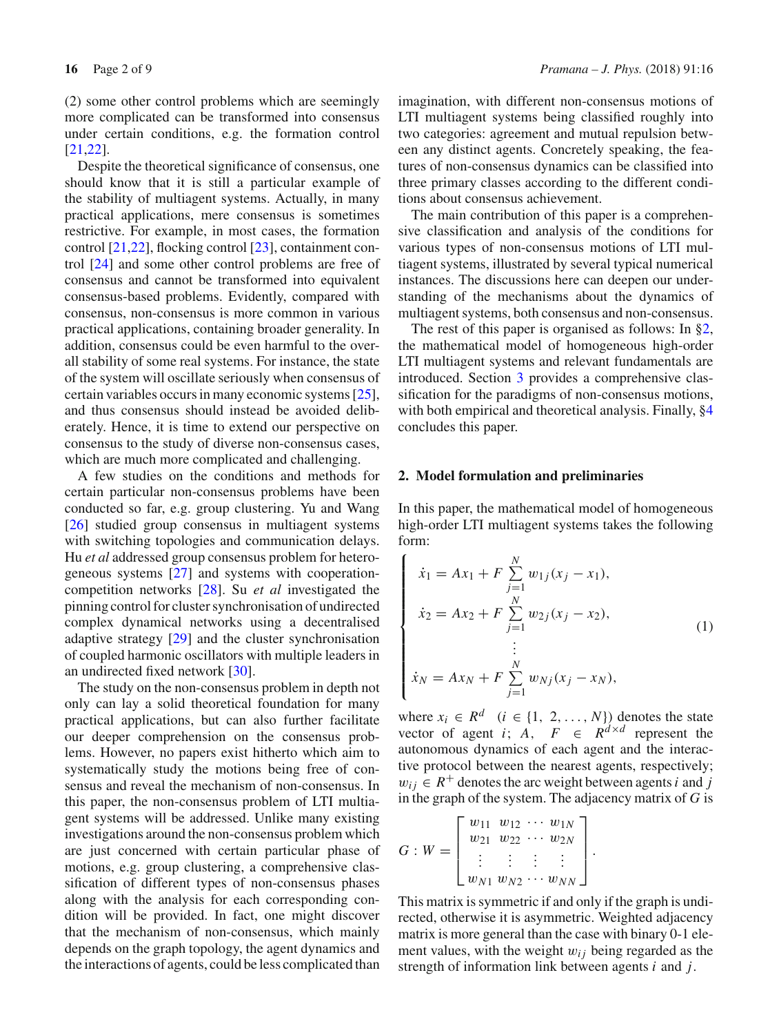(2) some other control problems which are seemingly more complicated can be transformed into consensus under certain conditions, e.g. the formation control [\[21](#page-8-15)[,22\]](#page-8-16).

Despite the theoretical significance of consensus, one should know that it is still a particular example of the stability of multiagent systems. Actually, in many practical applications, mere consensus is sometimes restrictive. For example, in most cases, the formation control [\[21](#page-8-15)[,22](#page-8-16)], flocking control [\[23\]](#page-8-17), containment control [\[24](#page-8-18)] and some other control problems are free of consensus and cannot be transformed into equivalent consensus-based problems. Evidently, compared with consensus, non-consensus is more common in various practical applications, containing broader generality. In addition, consensus could be even harmful to the overall stability of some real systems. For instance, the state of the system will oscillate seriously when consensus of certain variables occurs in many economic systems [\[25](#page-8-19)], and thus consensus should instead be avoided deliberately. Hence, it is time to extend our perspective on consensus to the study of diverse non-consensus cases, which are much more complicated and challenging.

A few studies on the conditions and methods for certain particular non-consensus problems have been conducted so far, e.g. group clustering. Yu and Wang [\[26](#page-8-20)] studied group consensus in multiagent systems with switching topologies and communication delays. Hu *et al* addressed group consensus problem for heterogeneous systems [\[27\]](#page-8-21) and systems with cooperationcompetition networks [\[28](#page-8-22)]. Su *et al* investigated the pinning control for cluster synchronisation of undirected complex dynamical networks using a decentralised adaptive strategy [\[29](#page-8-23)] and the cluster synchronisation of coupled harmonic oscillators with multiple leaders in an undirected fixed network [\[30](#page-8-24)].

The study on the non-consensus problem in depth not only can lay a solid theoretical foundation for many practical applications, but can also further facilitate our deeper comprehension on the consensus problems. However, no papers exist hitherto which aim to systematically study the motions being free of consensus and reveal the mechanism of non-consensus. In this paper, the non-consensus problem of LTI multiagent systems will be addressed. Unlike many existing investigations around the non-consensus problem which are just concerned with certain particular phase of motions, e.g. group clustering, a comprehensive classification of different types of non-consensus phases along with the analysis for each corresponding condition will be provided. In fact, one might discover that the mechanism of non-consensus, which mainly depends on the graph topology, the agent dynamics and the interactions of agents, could be less complicated than imagination, with different non-consensus motions of LTI multiagent systems being classified roughly into two categories: agreement and mutual repulsion between any distinct agents. Concretely speaking, the features of non-consensus dynamics can be classified into three primary classes according to the different conditions about consensus achievement.

The main contribution of this paper is a comprehensive classification and analysis of the conditions for various types of non-consensus motions of LTI multiagent systems, illustrated by several typical numerical instances. The discussions here can deepen our understanding of the mechanisms about the dynamics of multiagent systems, both consensus and non-consensus.

The rest of this paper is organised as follows: In [§2,](#page-1-0) the mathematical model of homogeneous high-order LTI multiagent systems and relevant fundamentals are introduced. Section [3](#page-2-0) provides a comprehensive classification for the paradigms of non-consensus motions, with both empirical and theoretical analysis. Finally,  $\S 4$ concludes this paper.

#### <span id="page-1-0"></span>**2. Model formulation and preliminaries**

 $\sqrt{ }$ 

 $\mathbf{I}$ ⎪⎪⎪⎪⎪⎪⎪⎪⎪⎪

 $\overline{J}$ 

 $<sub>1</sub>$ </sub>

In this paper, the mathematical model of homogeneous high-order LTI multiagent systems takes the following form:

<span id="page-1-1"></span>
$$
\dot{x}_1 = Ax_1 + F \sum_{j=1}^{N} w_{1j}(x_j - x_1),
$$
  
\n
$$
\dot{x}_2 = Ax_2 + F \sum_{j=1}^{N} w_{2j}(x_j - x_2),
$$
  
\n
$$
\vdots
$$
  
\n
$$
\dot{x}_N = Ax_N + F \sum_{j=1}^{N} w_{Nj}(x_j - x_N),
$$
  
\n(1)

where  $x_i \in R^d$  ( $i \in \{1, 2, ..., N\}$ ) denotes the state vector of agent *i*; *A*,  $F \in R^{d \times d}$  represent the autonomous dynamics of each agent and the interactive protocol between the nearest agents, respectively;  $w_{ij} \in R^+$  denotes the arc weight between agents *i* and *j* in the graph of the system. The adjacency matrix of *G* is

$$
G: W = \begin{bmatrix} w_{11} & w_{12} & \cdots & w_{1N} \\ w_{21} & w_{22} & \cdots & w_{2N} \\ \vdots & \vdots & \vdots & \vdots \\ w_{N1} & w_{N2} & \cdots & w_{NN} \end{bmatrix}.
$$

This matrix is symmetric if and only if the graph is undirected, otherwise it is asymmetric. Weighted adjacency matrix is more general than the case with binary 0-1 element values, with the weight  $w_{ij}$  being regarded as the strength of information link between agents *i* and *j*.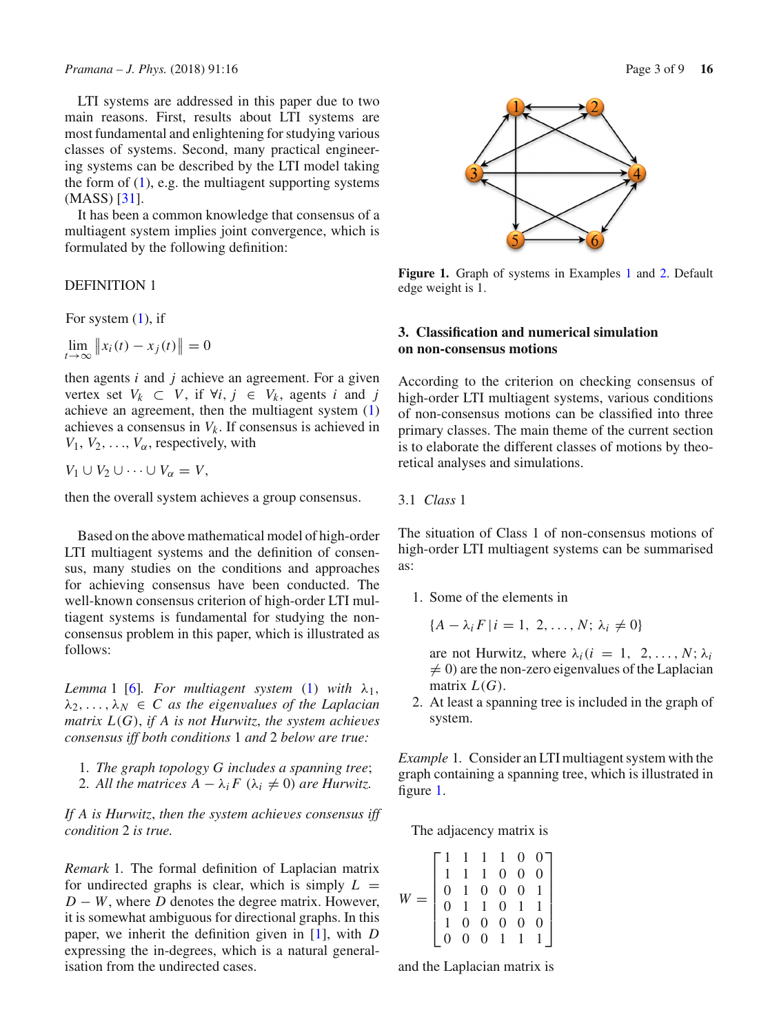*Pramana – J. Phys.* (2018) 91:16 **Page 3 of 9 <b>16** Page 3 of 9 **16** 

LTI systems are addressed in this paper due to two main reasons. First, results about LTI systems are most fundamental and enlightening for studying various classes of systems. Second, many practical engineering systems can be described by the LTI model taking the form of  $(1)$ , e.g. the multiagent supporting systems (MASS) [\[31\]](#page-8-25).

It has been a common knowledge that consensus of a multiagent system implies joint convergence, which is formulated by the following definition:

## DEFINITION 1

For system  $(1)$ , if

$$
\lim_{t \to \infty} \|x_i(t) - x_j(t)\| = 0
$$

then agents *i* and *j* achieve an agreement. For a given vertex set  $V_k \subset V$ , if  $\forall i, j \in V_k$ , agents *i* and *j* achieve an agreement, then the multiagent system [\(1\)](#page-1-1) achieves a consensus in  $V_k$ . If consensus is achieved in  $V_1, V_2, \ldots, V_\alpha$ , respectively, with

$$
V_1 \cup V_2 \cup \cdots \cup V_\alpha = V,
$$

then the overall system achieves a group consensus.

Based on the above mathematical model of high-order LTI multiagent systems and the definition of consensus, many studies on the conditions and approaches for achieving consensus have been conducted. The well-known consensus criterion of high-order LTI multiagent systems is fundamental for studying the nonconsensus problem in this paper, which is illustrated as follows:

<span id="page-2-3"></span>*Lemma* 1 [\[6](#page-8-5)]. For multiagent system [\(1\)](#page-1-1) with  $\lambda_1$ ,  $\lambda_2, \ldots, \lambda_N \in C$  *as the eigenvalues of the Laplacian matrix L*(*G*), *if A is not Hurwitz*, *the system achieves consensus iff both conditions* 1 *and* 2 *below are true:*

- 1. *The graph topology G includes a spanning tree*;
- 2. All the matrices  $A \lambda_i F$  ( $\lambda_i \neq 0$ ) are Hurwitz.

*If A is Hurwitz*, *then the system achieves consensus iff condition* 2 *is true.*

*Remark* 1*.* The formal definition of Laplacian matrix for undirected graphs is clear, which is simply  $L =$ *D* − *W*, where *D* denotes the degree matrix. However, it is somewhat ambiguous for directional graphs. In this paper, we inherit the definition given in [\[1](#page-8-0)], with *D* expressing the in-degrees, which is a natural generalisation from the undirected cases.

<span id="page-2-2"></span>Figure [1](#page-2-1). Graph of systems in Examples 1 and [2.](#page-3-0) Default edge weight is 1.

# <span id="page-2-0"></span>**3. Classification and numerical simulation on non-consensus motions**

According to the criterion on checking consensus of high-order LTI multiagent systems, various conditions of non-consensus motions can be classified into three primary classes. The main theme of the current section is to elaborate the different classes of motions by theoretical analyses and simulations.

3.1 *Class* 1

The situation of Class 1 of non-consensus motions of high-order LTI multiagent systems can be summarised as:

1. Some of the elements in

$$
\{A - \lambda_i F \mid i = 1, 2, \ldots, N; \lambda_i \neq 0\}
$$

are not Hurwitz, where  $\lambda_i$  ( $i = 1, 2, ..., N$ ;  $\lambda_i$  $\neq$  0) are the non-zero eigenvalues of the Laplacian matrix  $L(G)$ .

2. At least a spanning tree is included in the graph of system.

<span id="page-2-1"></span>*Example* 1*.* Consider an LTI multiagent system with the graph containing a spanning tree, which is illustrated in figure [1.](#page-2-2)

The adjacency matrix is

|  |  |  | $\begin{bmatrix} 1 & 1 & 1 & 1 & 0 & 0 \\ 1 & 1 & 1 & 0 & 0 & 0 \\ 0 & 1 & 0 & 0 & 0 & 1 \\ 0 & 1 & 1 & 0 & 1 & 1 \\ 1 & 0 & 0 & 0 & 0 & 0 \\ 0 & 0 & 0 & 1 & 1 & 1 \end{bmatrix}$ |
|--|--|--|------------------------------------------------------------------------------------------------------------------------------------------------------------------------------------|

and the Laplacian matrix is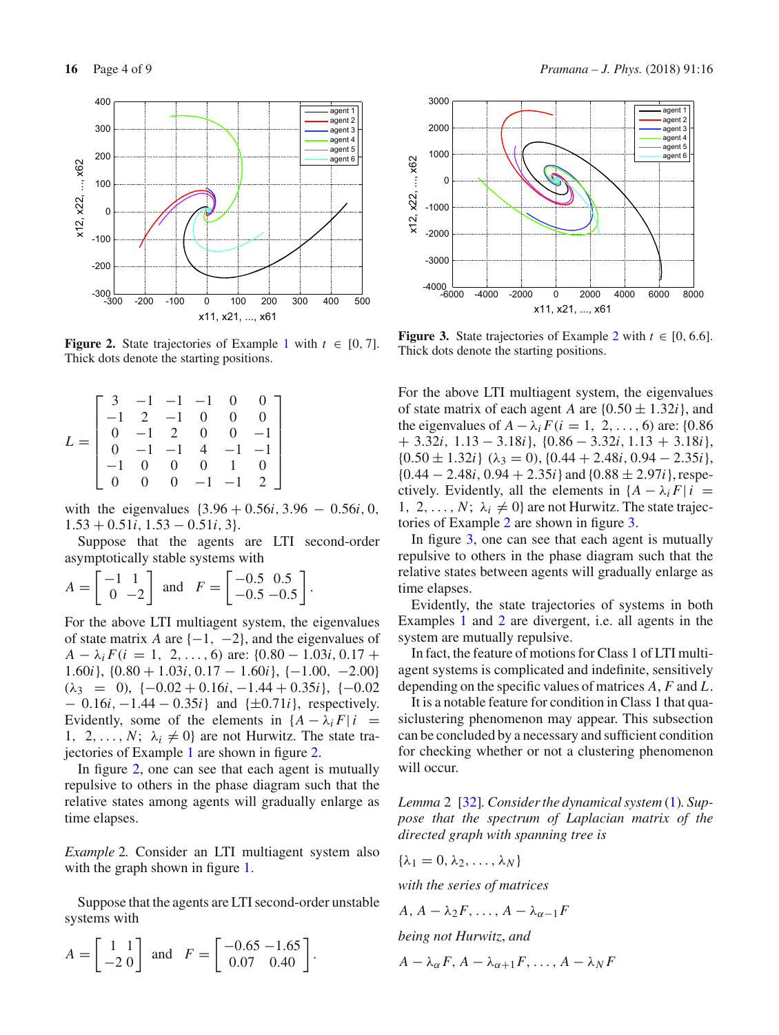

<span id="page-3-1"></span>**Figure 2.** State trajectories of Example [1](#page-2-1) with  $t \in [0, 7]$ . Thick dots denote the starting positions.

$$
L = \begin{bmatrix} 3 & -1 & -1 & -1 & 0 & 0 \\ -1 & 2 & -1 & 0 & 0 & 0 \\ 0 & -1 & 2 & 0 & 0 & -1 \\ 0 & -1 & -1 & 4 & -1 & -1 \\ -1 & 0 & 0 & 0 & 1 & 0 \\ 0 & 0 & 0 & -1 & -1 & 2 \end{bmatrix}
$$

with the eigenvalues  $\{3.96 + 0.56i, 3.96 - 0.56i, 0,$  $1.53 + 0.51i$ ,  $1.53 - 0.51i$ , 3}.

Suppose that the agents are LTI second-order asymptotically stable systems with

$$
A = \begin{bmatrix} -1 & 1 \\ 0 & -2 \end{bmatrix} \text{ and } F = \begin{bmatrix} -0.5 & 0.5 \\ -0.5 & -0.5 \end{bmatrix}.
$$

For the above LTI multiagent system, the eigenvalues of state matrix *A* are  $\{-1, -2\}$ , and the eigenvalues of  $A - \lambda_i F(i = 1, 2, \ldots, 6)$  are: {0.80 – 1.03*i*, 0.17 + 1.60*i*}, {0.80 + 1.03*i*, 0.17 − 1.60*i*}, {−1.00, −2.00}  $(\lambda_3 = 0), \{ -0.02 + 0.16i, -1.44 + 0.35i \}, \{ -0.02$ − 0.16*i*, −1.44 − 0.35*i*} and {±0.71*i*}, respectively. Evidently, some of the elements in  ${A - \lambda_i F|i}$  = 1, 2, ..., *N*;  $\lambda_i \neq 0$ } are not Hurwitz. The state trajectories of Example [1](#page-2-1) are shown in figure [2.](#page-3-1)

In figure [2,](#page-3-1) one can see that each agent is mutually repulsive to others in the phase diagram such that the relative states among agents will gradually enlarge as time elapses.

<span id="page-3-0"></span>*Example* 2*.* Consider an LTI multiagent system also with the graph shown in figure [1.](#page-2-2)

Suppose that the agents are LTI second-order unstable systems with

.

$$
A = \begin{bmatrix} 1 & 1 \\ -2 & 0 \end{bmatrix} \text{ and } F = \begin{bmatrix} -0.65 & -1.65 \\ 0.07 & 0.40 \end{bmatrix}
$$



<span id="page-3-2"></span>**Figure 3.** State trajectories of Example [2](#page-3-0) with  $t \in [0, 6.6]$ . Thick dots denote the starting positions.

For the above LTI multiagent system, the eigenvalues of state matrix of each agent *A* are  $\{0.50 \pm 1.32i\}$ , and the eigenvalues of  $A - \lambda_i F(i = 1, 2, ..., 6)$  are: {0.86} + 3.32*i*, 1.13 − 3.18*i*}, {0.86 − 3.32*i*, 1.13 + 3.18*i*},  $\{0.50 \pm 1.32i\}$  ( $\lambda_3 = 0$ ),  $\{0.44 + 2.48i, 0.94 - 2.35i\}$ , {0.44 − 2.48*i*, 0.94 + 2.35*i*} and {0.88 ± 2.97*i*}, respectively. Evidently, all the elements in  ${A - \lambda_i F|i}$ 1, 2, ..., *N*;  $\lambda_i \neq 0$ } are not Hurwitz. The state trajectories of Example [2](#page-3-0) are shown in figure [3.](#page-3-2)

In figure [3,](#page-3-2) one can see that each agent is mutually repulsive to others in the phase diagram such that the relative states between agents will gradually enlarge as time elapses.

Evidently, the state trajectories of systems in both Examples [1](#page-2-1) and [2](#page-3-0) are divergent, i.e. all agents in the system are mutually repulsive.

In fact, the feature of motions for Class 1 of LTI multiagent systems is complicated and indefinite, sensitively depending on the specific values of matrices *A*, *F* and *L*.

It is a notable feature for condition in Class 1 that quasiclustering phenomenon may appear. This subsection can be concluded by a necessary and sufficient condition for checking whether or not a clustering phenomenon will occur.

*Lemma* 2 [\[32\]](#page-8-26)*. Consider the dynamical system* [\(1\)](#page-1-1)*. Suppose that the spectrum of Laplacian matrix of the directed graph with spanning tree is*

$$
\{\lambda_1=0,\lambda_2,\ldots,\lambda_N\}
$$

*with the series of matrices*

$$
A, A - \lambda_2 F, \ldots, A - \lambda_{\alpha-1} F
$$

*being not Hurwitz*, *and*

$$
A - \lambda_{\alpha} F, A - \lambda_{\alpha+1} F, \ldots, A - \lambda_N F
$$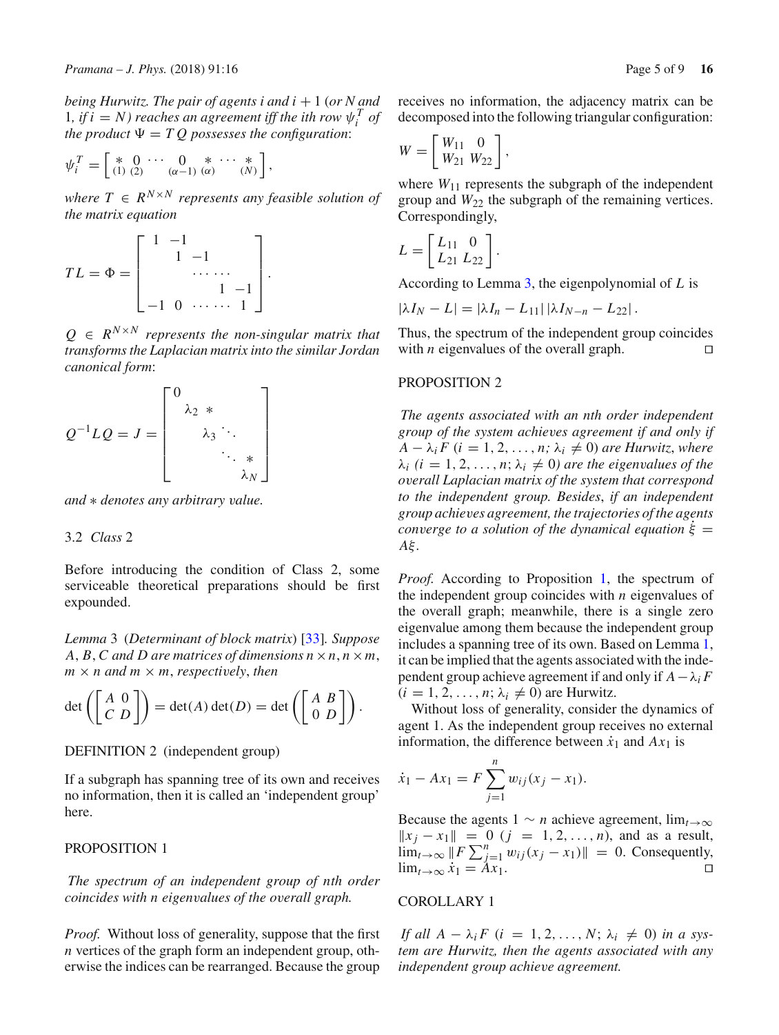*being Hurwitz. The pair of agents i and i* + 1 (*or N and* 1*, if*  $i = N$ *) reaches an agreement iff the ith row*  $\psi_i^T$  *of the product*  $\Psi = TQ$  *possesses the configuration*:

$$
\psi_i^T = \begin{bmatrix} * & 0 & \cdots & 0 & * & \cdots & * \\ (1) & (2) & & (\alpha - 1) & (\alpha) & & (N) \end{bmatrix},
$$

*where*  $T \in R^{N \times N}$  *represents any feasible solution of the matrix equation*

$$
TL = \Phi = \begin{bmatrix} 1 & -1 & & \\ & 1 & -1 & & \\ & & \cdots & \cdots & \\ & & & 1 & -1 \\ -1 & 0 & \cdots & \cdots & 1 \end{bmatrix}.
$$

 $Q \in R^{N \times N}$  *represents the non-singular matrix that transforms the Laplacian matrix into the similar Jordan canonical form*:

$$
Q^{-1}LQ = J = \begin{bmatrix} 0 & & & \\ & \lambda_2 & * & \\ & & \lambda_3 & \ddots \\ & & & \ddots & * \\ & & & & \lambda_N \end{bmatrix}
$$

*and* ∗ *denotes any arbitrary value.*

# 3.2 *Class* 2

Before introducing the condition of Class 2, some serviceable theoretical preparations should be first expounded.

<span id="page-4-0"></span>*Lemma* 3 (*Determinant of block matrix*) [\[33\]](#page-8-27)*. Suppose A*, *B*, *C* and *D* are matrices of dimensions  $n \times n$ ,  $n \times m$ ,  $m \times n$  *and*  $m \times m$ *, respectively, then* 

$$
\det\left(\begin{bmatrix} A & 0 \\ C & D \end{bmatrix}\right) = \det(A)\det(D) = \det\left(\begin{bmatrix} A & B \\ 0 & D \end{bmatrix}\right).
$$

<span id="page-4-2"></span>DEFINITION 2 (independent group)

If a subgraph has spanning tree of its own and receives no information, then it is called an 'independent group' here.

# <span id="page-4-1"></span>PROPOSITION 1

*The spectrum of an independent group of nth order coincides with n eigenvalues of the overall graph.*

*Proof.* Without loss of generality, suppose that the first *n* vertices of the graph form an independent group, otherwise the indices can be rearranged. Because the group receives no information, the adjacency matrix can be decomposed into the following triangular configuration:

$$
W=\left[\begin{array}{cc} W_{11} & 0 \\ W_{21} & W_{22} \end{array}\right],
$$

where  $W_{11}$  represents the subgraph of the independent group and  $W_{22}$  the subgraph of the remaining vertices. Correspondingly,

$$
L=\left[\begin{array}{cc}L_{11}&0\\L_{21}&L_{22}\end{array}\right].
$$

According to Lemma [3,](#page-4-0) the eigenpolynomial of *L* is

$$
|\lambda I_N - L| = |\lambda I_n - L_{11}| |\lambda I_{N-n} - L_{22}|.
$$

Thus, the spectrum of the independent group coincides with *n* eigenvalues of the overall graph.  $\Box$ 

#### PROPOSITION 2

*The agents associated with an nth order independent group of the system achieves agreement if and only if*  $A - \lambda_i F$  (*i* = 1, 2, ..., *n*;  $\lambda_i \neq 0$ ) *are Hurwitz*, *where*  $\lambda_i$  (*i* = 1, 2, ..., *n*;  $\lambda_i \neq 0$ ) are the eigenvalues of the *overall Laplacian matrix of the system that correspond to the independent group. Besides*, *if an independent group achieves agreement, the trajectories of the agents converge to a solution of the dynamical equation*  $\dot{\xi}$  = *A*ξ *.*

*Proof.* According to Proposition [1,](#page-4-1) the spectrum of the independent group coincides with *n* eigenvalues of the overall graph; meanwhile, there is a single zero eigenvalue among them because the independent group includes a spanning tree of its own. Based on Lemma [1,](#page-2-3) it can be implied that the agents associated with the independent group achieve agreement if and only if  $A - \lambda_i F$  $(i = 1, 2, \ldots, n; \lambda_i \neq 0)$  are Hurwitz.

Without loss of generality, consider the dynamics of agent 1. As the independent group receives no external information, the difference between  $\dot{x}_1$  and  $Ax_1$  is

$$
\dot{x}_1 - Ax_1 = F \sum_{j=1}^n w_{ij} (x_j - x_1).
$$

Because the agents  $1 \sim n$  achieve agreement,  $\lim_{t \to \infty}$  $||x_j - x_1|| = 0$  (*j* = 1, 2, ..., *n*), and as a result,  $\lim_{j \to \infty}$   $||F \sum_{j=1}^{n} w_{ij} (x_j - x_1)|| = 0$ . Consequently,  $\lim_{t\to\infty} \dot{x}_1 = Ax_1.$  $\Box$ 

#### COROLLARY 1

*If all*  $A - \lambda_i F$  ( $i = 1, 2, ..., N$ ;  $\lambda_i \neq 0$ ) *in a system are Hurwitz, then the agents associated with any independent group achieve agreement.*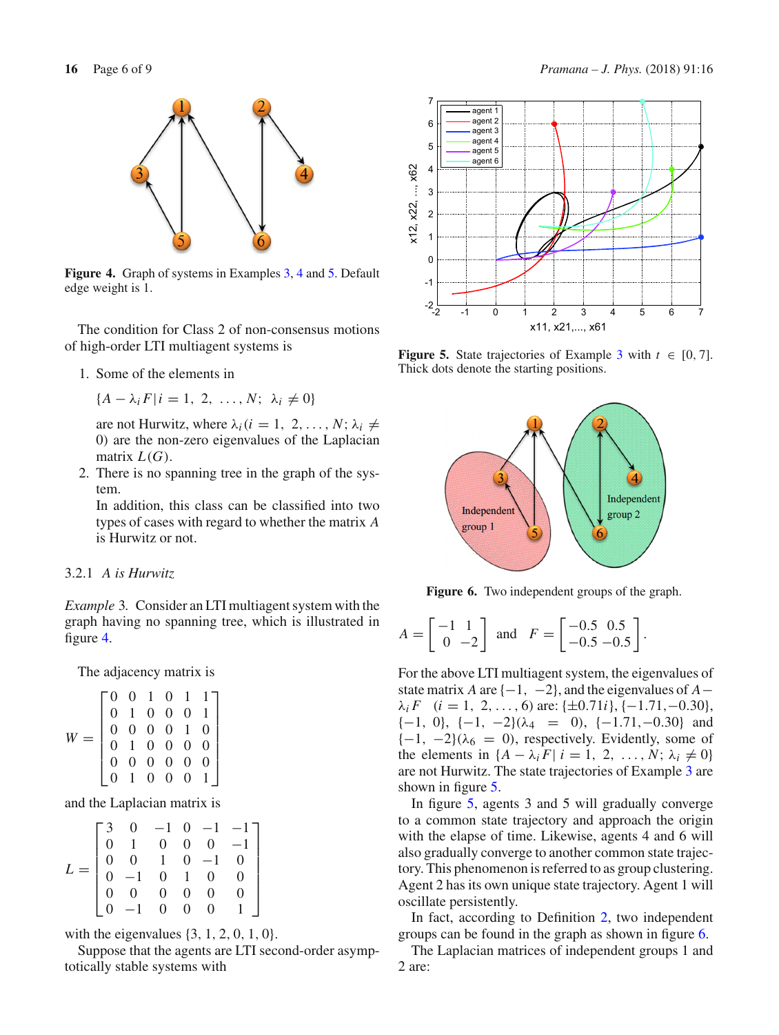

<span id="page-5-1"></span>**Figure [4](#page-6-0).** Graph of systems in Examples [3,](#page-5-0) 4 and [5.](#page-7-1) Default edge weight is 1.

The condition for Class 2 of non-consensus motions of high-order LTI multiagent systems is

1. Some of the elements in

 ${A - \lambda_i F | i = 1, 2, ..., N; \lambda_i \neq 0}$ 

are not Hurwitz, where  $\lambda_i$  ( $i = 1, 2, ..., N$ ;  $\lambda_i \neq$ 0) are the non-zero eigenvalues of the Laplacian matrix  $L(G)$ .

2. There is no spanning tree in the graph of the system.

In addition, this class can be classified into two types of cases with regard to whether the matrix *A* is Hurwitz or not.

# 3.2.1 *A is Hurwitz*

<span id="page-5-0"></span>*Example* 3*.* Consider an LTI multiagent system with the graph having no spanning tree, which is illustrated in figure [4.](#page-5-1)

The adjacency matrix is

$$
W = \begin{bmatrix} 0 & 0 & 1 & 0 & 1 & 1 \\ 0 & 1 & 0 & 0 & 0 & 1 \\ 0 & 0 & 0 & 0 & 1 & 0 \\ 0 & 1 & 0 & 0 & 0 & 0 \\ 0 & 0 & 0 & 0 & 0 & 0 \\ 0 & 1 & 0 & 0 & 0 & 1 \end{bmatrix}
$$

and the Laplacian matrix is

|  |  |  | $\begin{bmatrix} 3 & 0 & -1 & 0 & -1 & -1 \\ 0 & 1 & 0 & 0 & 0 & -1 \\ 0 & 0 & 1 & 0 & -1 & 0 \\ 0 & -1 & 0 & 1 & 0 & 0 \\ 0 & 0 & 0 & 0 & 0 & 0 \\ 0 & -1 & 0 & 0 & 0 & 1 \end{bmatrix}$ |  |
|--|--|--|-------------------------------------------------------------------------------------------------------------------------------------------------------------------------------------------|--|

with the eigenvalues  $\{3, 1, 2, 0, 1, 0\}$ .

Suppose that the agents are LTI second-order asymptotically stable systems with



**Figure 5.** State trajectories of Example [3](#page-5-0) with  $t \in [0, 7]$ . Thick dots denote the starting positions.

<span id="page-5-2"></span>

<span id="page-5-3"></span>**Figure 6.** Two independent groups of the graph.

$$
A = \begin{bmatrix} -1 & 1 \\ 0 & -2 \end{bmatrix} \text{ and } F = \begin{bmatrix} -0.5 & 0.5 \\ -0.5 & -0.5 \end{bmatrix}.
$$

For the above LTI multiagent system, the eigenvalues of state matrix *A* are  $\{-1, -2\}$ , and the eigenvalues of *A* −  $\lambda_i F$  (*i* = 1, 2, ..., 6) are: { $\pm 0.71i$ }, {-1.71, -0.30},  $\{-1, 0\}, \{-1, -2\}(\lambda_4 = 0), \{-1.71, -0.30\}$  and  ${-1, -2}(\lambda_6 = 0)$ , respectively. Evidently, some of the elements in  $\{A - \lambda_i F | i = 1, 2, ..., N; \lambda_i \neq 0\}$ are not Hurwitz. The state trajectories of Example [3](#page-5-0) are shown in figure [5.](#page-5-2)

In figure [5,](#page-5-2) agents 3 and 5 will gradually converge to a common state trajectory and approach the origin with the elapse of time. Likewise, agents 4 and 6 will also gradually converge to another common state trajectory. This phenomenon is referred to as group clustering. Agent 2 has its own unique state trajectory. Agent 1 will oscillate persistently.

In fact, according to Definition [2,](#page-4-2) two independent groups can be found in the graph as shown in figure [6.](#page-5-3)

The Laplacian matrices of independent groups 1 and 2 are: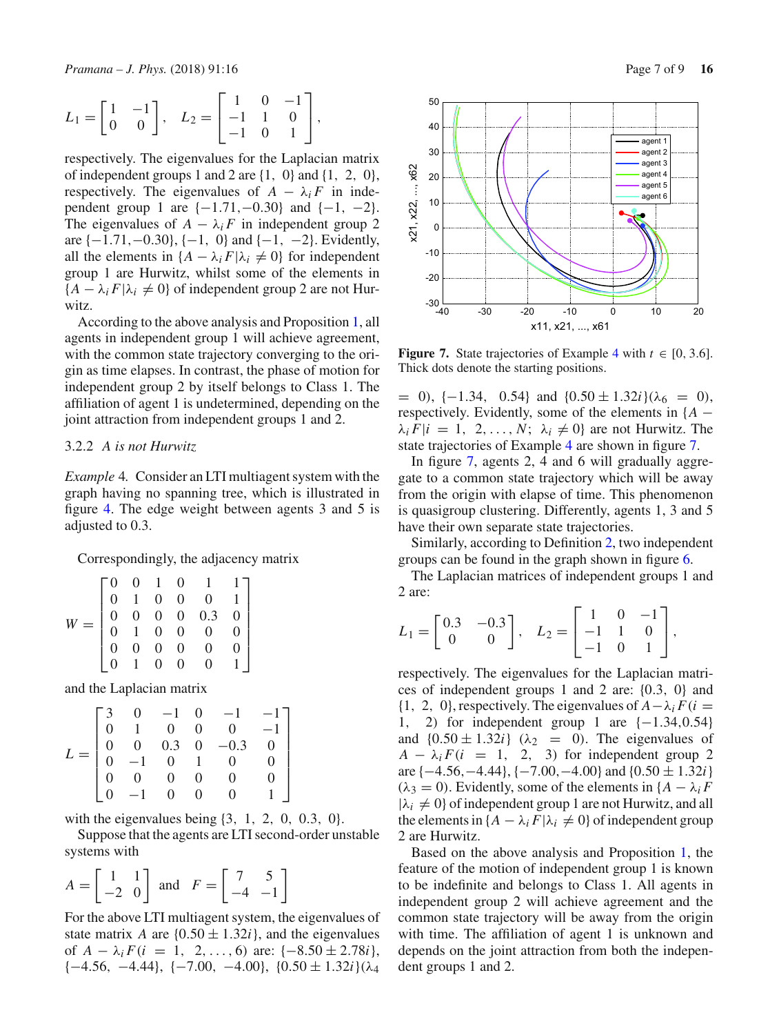*Pramana – J. Phys.* (2018) 91:16 **Page 7 of 9 <b>16** Page 7 of 9 **16** 

$$
L_1 = \begin{bmatrix} 1 & -1 \\ 0 & 0 \end{bmatrix}, \quad L_2 = \begin{bmatrix} 1 & 0 & -1 \\ -1 & 1 & 0 \\ -1 & 0 & 1 \end{bmatrix},
$$

respectively. The eigenvalues for the Laplacian matrix of independent groups 1 and 2 are  $\{1, 0\}$  and  $\{1, 2, 0\}$ , respectively. The eigenvalues of  $A - \lambda_i F$  in independent group 1 are  $\{-1.71, -0.30\}$  and  $\{-1, -2\}$ . The eigenvalues of  $A - \lambda_i F$  in independent group 2 are  $\{-1.71, -0.30\}$ ,  $\{-1, 0\}$  and  $\{-1, -2\}$ . Evidently, all the elements in  ${A - \lambda_i F | \lambda_i \neq 0}$  for independent group 1 are Hurwitz, whilst some of the elements in  ${A - \lambda_i F|\lambda_i \neq 0}$  of independent group 2 are not Hurwitz.

According to the above analysis and Proposition [1,](#page-4-1) all agents in independent group 1 will achieve agreement, with the common state trajectory converging to the origin as time elapses. In contrast, the phase of motion for independent group 2 by itself belongs to Class 1. The affiliation of agent 1 is undetermined, depending on the joint attraction from independent groups 1 and 2.

## <span id="page-6-0"></span>3.2.2 *A is not Hurwitz*

*Example* 4*.* Consider an LTI multiagent system with the graph having no spanning tree, which is illustrated in figure [4.](#page-5-1) The edge weight between agents 3 and 5 is adjusted to 0.3.

Correspondingly, the adjacency matrix

|  |  |  | $\begin{bmatrix} 0 & 0 & 1 & 0 & 1 & 1 \\ 0 & 1 & 0 & 0 & 0 & 1 \\ 0 & 0 & 0 & 0 & 0.3 & 0 \\ 0 & 1 & 0 & 0 & 0 & 0 \\ 0 & 0 & 0 & 0 & 0 & 0 \\ 0 & 1 & 0 & 0 & 0 & 1 \end{bmatrix}$ |  |
|--|--|--|--------------------------------------------------------------------------------------------------------------------------------------------------------------------------------------|--|

and the Laplacian matrix

$$
L = \begin{bmatrix} 3 & 0 & -1 & 0 & -1 & -1 \\ 0 & 1 & 0 & 0 & 0 & -1 \\ 0 & 0 & 0.3 & 0 & -0.3 & 0 \\ 0 & -1 & 0 & 1 & 0 & 0 \\ 0 & 0 & 0 & 0 & 0 & 0 \\ 0 & -1 & 0 & 0 & 0 & 1 \end{bmatrix}
$$

with the eigenvalues being  $\{3, 1, 2, 0, 0.3, 0\}$ .

Suppose that the agents are LTI second-order unstable systems with

$$
A = \begin{bmatrix} 1 & 1 \\ -2 & 0 \end{bmatrix} \text{ and } F = \begin{bmatrix} 7 & 5 \\ -4 & -1 \end{bmatrix}
$$

For the above LTI multiagent system, the eigenvalues of state matrix *A* are  $\{0.50 \pm 1.32i\}$ , and the eigenvalues of  $A - \lambda_i F(i = 1, 2, ..., 6)$  are:  $\{-8.50 \pm 2.78i\},\$ {−4.56, −4.44}, {−7.00, −4.00}, {0.50 ± 1.32*i*}(λ<sup>4</sup>



<span id="page-6-1"></span>**Figure 7.** State trajectories of Example [4](#page-6-0) with  $t \in [0, 3.6]$ . Thick dots denote the starting positions.

 $= 0$ , {-1.34, 0.54} and {0.50  $\pm$  1.32*i*}( $\lambda_6 = 0$ ), respectively. Evidently, some of the elements in {*A* −  $\lambda_i F|i = 1, 2, \ldots, N; \lambda_i \neq 0$  are not Hurwitz. The state trajectories of Example [4](#page-6-0) are shown in figure [7.](#page-6-1)

In figure [7,](#page-6-1) agents 2, 4 and 6 will gradually aggregate to a common state trajectory which will be away from the origin with elapse of time. This phenomenon is quasigroup clustering. Differently, agents 1, 3 and 5 have their own separate state trajectories.

Similarly, according to Definition [2,](#page-4-2) two independent groups can be found in the graph shown in figure [6.](#page-5-3)

The Laplacian matrices of independent groups 1 and 2 are:

$$
L_1 = \begin{bmatrix} 0.3 & -0.3 \\ 0 & 0 \end{bmatrix}, \quad L_2 = \begin{bmatrix} 1 & 0 & -1 \\ -1 & 1 & 0 \\ -1 & 0 & 1 \end{bmatrix},
$$

respectively. The eigenvalues for the Laplacian matrices of independent groups 1 and 2 are: {0.3, 0} and  ${1, 2, 0}$ , respectively. The eigenvalues of  $A - \lambda_i F(i =$ 1, 2) for independent group 1 are {−1.34,0.54} and  ${0.50 \pm 1.32i}$  ( $\lambda_2 = 0$ ). The eigenvalues of  $A - \lambda_i F(i = 1, 2, 3)$  for independent group 2 are {−4.56,−4.44}, {−7.00,−4.00} and {0.50 ± 1.32*i*}  $(\lambda_3 = 0)$ . Evidently, some of the elements in  ${A - \lambda_i F}$  $|\lambda_i \neq 0$  of independent group 1 are not Hurwitz, and all the elements in  $\{A - \lambda_i F | \lambda_i \neq 0\}$  of independent group 2 are Hurwitz.

Based on the above analysis and Proposition [1,](#page-4-1) the feature of the motion of independent group 1 is known to be indefinite and belongs to Class 1. All agents in independent group 2 will achieve agreement and the common state trajectory will be away from the origin with time. The affiliation of agent 1 is unknown and depends on the joint attraction from both the independent groups 1 and 2.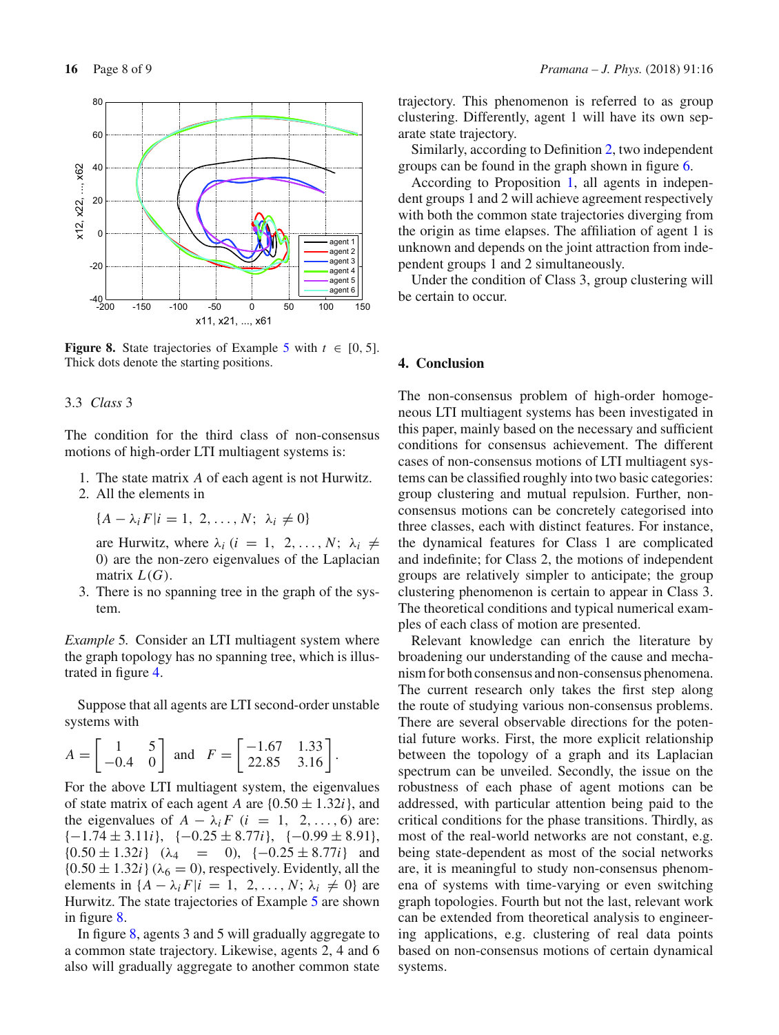

<span id="page-7-2"></span>**Figure 8.** State trajectories of Example [5](#page-7-1) with  $t \in [0, 5]$ . Thick dots denote the starting positions.

#### 3.3 *Class* 3

The condition for the third class of non-consensus motions of high-order LTI multiagent systems is:

- 1. The state matrix *A* of each agent is not Hurwitz.
- 2. All the elements in

 ${A - \lambda_i F|i = 1, 2, ..., N; \lambda_i \neq 0}$ 

are Hurwitz, where  $\lambda_i$  (*i* = 1, 2, ..., *N*;  $\lambda_i \neq$ 0) are the non-zero eigenvalues of the Laplacian matrix  $L(G)$ .

3. There is no spanning tree in the graph of the system.

<span id="page-7-1"></span>*Example* 5*.* Consider an LTI multiagent system where the graph topology has no spanning tree, which is illustrated in figure [4.](#page-5-1)

Suppose that all agents are LTI second-order unstable systems with

$$
A = \begin{bmatrix} 1 & 5 \\ -0.4 & 0 \end{bmatrix} \text{ and } F = \begin{bmatrix} -1.67 & 1.33 \\ 22.85 & 3.16 \end{bmatrix}.
$$

For the above LTI multiagent system, the eigenvalues of state matrix of each agent *A* are  $\{0.50 \pm 1.32i\}$ , and the eigenvalues of  $A - \lambda_i F$  ( $i = 1, 2, ..., 6$ ) are: {−1.74 ± 3.11*i*}, {−0.25 ± 8.77*i*}, {−0.99 ± 8.91},  ${0.50 \pm 1.32i}$  ( $\lambda_4 = 0$ ),  ${-0.25 \pm 8.77i}$  and  ${0.50 \pm 1.32i}$  ( $\lambda_6 = 0$ ), respectively. Evidently, all the elements in  $\{A - \lambda_i F | i = 1, 2, ..., N; \lambda_i \neq 0\}$  are Hurwitz. The state trajectories of Example [5](#page-7-1) are shown in figure [8.](#page-7-2)

In figure [8,](#page-7-2) agents 3 and 5 will gradually aggregate to a common state trajectory. Likewise, agents 2, 4 and 6 also will gradually aggregate to another common state trajectory. This phenomenon is referred to as group clustering. Differently, agent 1 will have its own separate state trajectory.

Similarly, according to Definition [2,](#page-4-2) two independent groups can be found in the graph shown in figure [6.](#page-5-3)

According to Proposition [1,](#page-4-1) all agents in independent groups 1 and 2 will achieve agreement respectively with both the common state trajectories diverging from the origin as time elapses. The affiliation of agent 1 is unknown and depends on the joint attraction from independent groups 1 and 2 simultaneously.

Under the condition of Class 3, group clustering will be certain to occur.

#### <span id="page-7-0"></span>**4. Conclusion**

The non-consensus problem of high-order homogeneous LTI multiagent systems has been investigated in this paper, mainly based on the necessary and sufficient conditions for consensus achievement. The different cases of non-consensus motions of LTI multiagent systems can be classified roughly into two basic categories: group clustering and mutual repulsion. Further, nonconsensus motions can be concretely categorised into three classes, each with distinct features. For instance, the dynamical features for Class 1 are complicated and indefinite; for Class 2, the motions of independent groups are relatively simpler to anticipate; the group clustering phenomenon is certain to appear in Class 3. The theoretical conditions and typical numerical examples of each class of motion are presented.

Relevant knowledge can enrich the literature by broadening our understanding of the cause and mechanism for both consensus and non-consensus phenomena. The current research only takes the first step along the route of studying various non-consensus problems. There are several observable directions for the potential future works. First, the more explicit relationship between the topology of a graph and its Laplacian spectrum can be unveiled. Secondly, the issue on the robustness of each phase of agent motions can be addressed, with particular attention being paid to the critical conditions for the phase transitions. Thirdly, as most of the real-world networks are not constant, e.g. being state-dependent as most of the social networks are, it is meaningful to study non-consensus phenomena of systems with time-varying or even switching graph topologies. Fourth but not the last, relevant work can be extended from theoretical analysis to engineering applications, e.g. clustering of real data points based on non-consensus motions of certain dynamical systems.